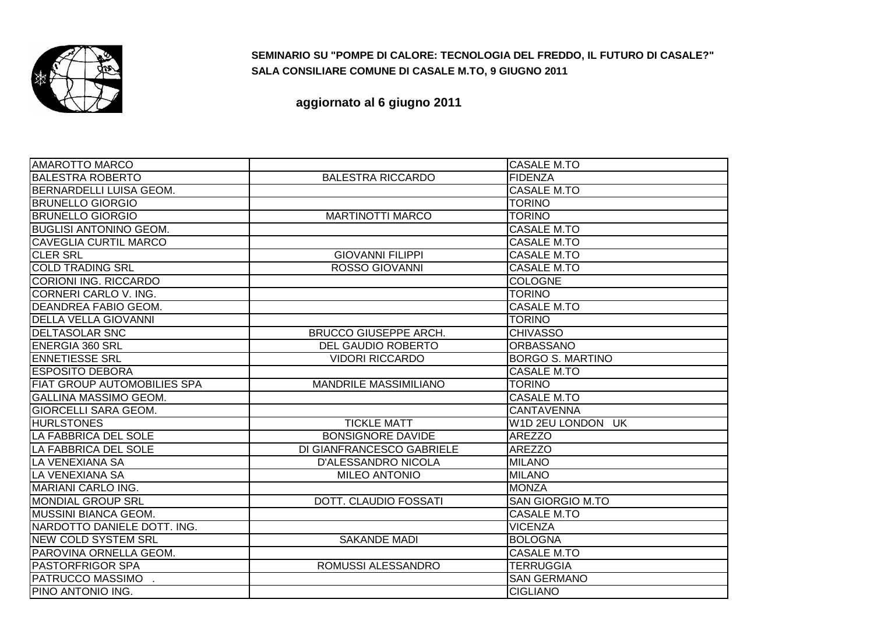

## **SEMINARIO SU "POMPE DI CALORE: TECNOLOGIA DEL FREDDO, IL FUTURO DI CASALE?"SALA CONSILIARE COMUNE DI CASALE M.TO, 9 GIUGNO 2011**

**aggiornato al 6 giugno 2011**

| <b>AMAROTTO MARCO</b>               |                              | <b>CASALE M.TO</b>      |
|-------------------------------------|------------------------------|-------------------------|
| <b>BALESTRA ROBERTO</b>             | <b>BALESTRA RICCARDO</b>     | <b>FIDENZA</b>          |
| <b>IBERNARDELLI LUISA GEOM.</b>     |                              | <b>CASALE M.TO</b>      |
| <b>BRUNELLO GIORGIO</b>             |                              | <b>TORINO</b>           |
| <b>BRUNELLO GIORGIO</b>             | <b>MARTINOTTI MARCO</b>      | <b>TORINO</b>           |
| <b>BUGLISI ANTONINO GEOM.</b>       |                              | <b>CASALE M.TO</b>      |
| <b>CAVEGLIA CURTIL MARCO</b>        |                              | <b>CASALE M.TO</b>      |
| <b>CLER SRL</b>                     | <b>GIOVANNI FILIPPI</b>      | <b>CASALE M.TO</b>      |
| <b>COLD TRADING SRL</b>             | <b>ROSSO GIOVANNI</b>        | <b>CASALE M.TO</b>      |
| CORIONI ING. RICCARDO               |                              | <b>COLOGNE</b>          |
| CORNERI CARLO V. ING.               |                              | <b>TORINO</b>           |
| IDEANDREA FABIO GEOM.               |                              | <b>CASALE M.TO</b>      |
| <b>DELLA VELLA GIOVANNI</b>         |                              | <b>TORINO</b>           |
| <b>DELTASOLAR SNC</b>               | <b>BRUCCO GIUSEPPE ARCH.</b> | <b>CHIVASSO</b>         |
| <b>IENERGIA 360 SRL</b>             | <b>DEL GAUDIO ROBERTO</b>    | <b>ORBASSANO</b>        |
| <b>ENNETIESSE SRL</b>               | <b>VIDORI RICCARDO</b>       | <b>BORGO S. MARTINO</b> |
| <b>IESPOSITO DEBORA</b>             |                              | <b>CASALE M.TO</b>      |
| <b>IFIAT GROUP AUTOMOBILIES SPA</b> | <b>MANDRILE MASSIMILIANO</b> | <b>TORINO</b>           |
| <b>GALLINA MASSIMO GEOM.</b>        |                              | <b>CASALE M.TO</b>      |
| <b>GIORCELLI SARA GEOM.</b>         |                              | <b>CANTAVENNA</b>       |
| <b>HURLSTONES</b>                   | <b>TICKLE MATT</b>           | W1D 2EU LONDON UK       |
| LA FABBRICA DEL SOLE                | <b>BONSIGNORE DAVIDE</b>     | <b>AREZZO</b>           |
| LA FABBRICA DEL SOLE                | DI GIANFRANCESCO GABRIELE    | <b>AREZZO</b>           |
| LA VENEXIANA SA                     | <b>D'ALESSANDRO NICOLA</b>   | <b>MILANO</b>           |
| LA VENEXIANA SA                     | <b>MILEO ANTONIO</b>         | <b>MILANO</b>           |
| <b>MARIANI CARLO ING.</b>           |                              | <b>MONZA</b>            |
| <b>MONDIAL GROUP SRL</b>            | <b>DOTT. CLAUDIO FOSSATI</b> | <b>SAN GIORGIO M.TO</b> |
| <b>MUSSINI BIANCA GEOM.</b>         |                              | <b>CASALE M.TO</b>      |
| NARDOTTO DANIELE DOTT. ING.         |                              | <b>VICENZA</b>          |
| <b>NEW COLD SYSTEM SRL</b>          | <b>SAKANDE MADI</b>          | <b>BOLOGNA</b>          |
| PAROVINA ORNELLA GEOM.              |                              | <b>CASALE M.TO</b>      |
| <b>PASTORFRIGOR SPA</b>             | ROMUSSI ALESSANDRO           | <b>TERRUGGIA</b>        |
| <b>PATRUCCO MASSIMO</b>             |                              | <b>SAN GERMANO</b>      |
| PINO ANTONIO ING.                   |                              | <b>CIGLIANO</b>         |